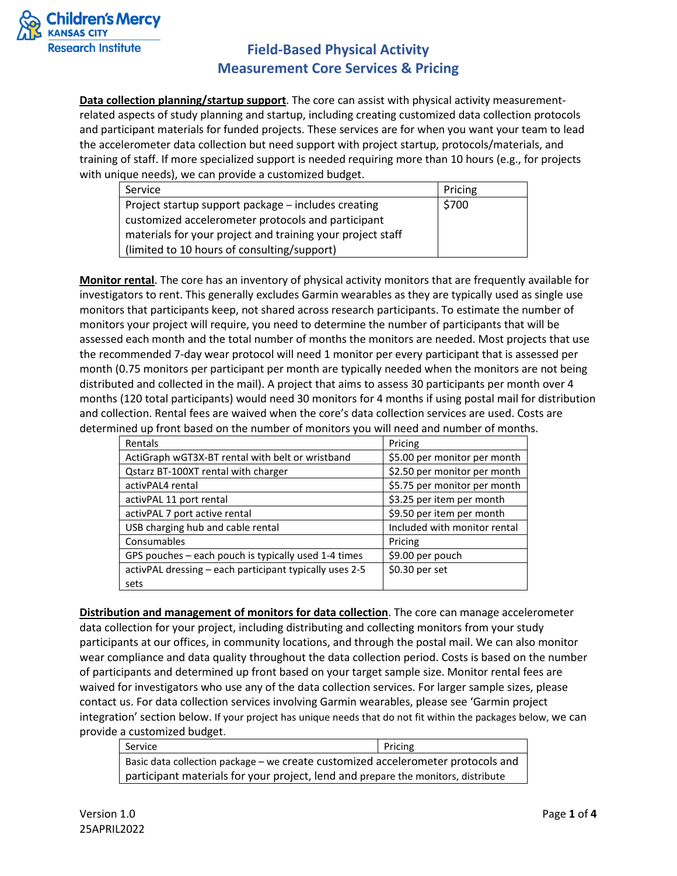

**Data collection planning/startup support**. The core can assist with physical activity measurementrelated aspects of study planning and startup, including creating customized data collection protocols and participant materials for funded projects. These services are for when you want your team to lead the accelerometer data collection but need support with project startup, protocols/materials, and training of staff. If more specialized support is needed requiring more than 10 hours (e.g., for projects with unique needs), we can provide a customized budget.

| Service                                                    | Pricing |
|------------------------------------------------------------|---------|
| Project startup support package – includes creating        | \$700   |
| customized accelerometer protocols and participant         |         |
| materials for your project and training your project staff |         |
| (limited to 10 hours of consulting/support)                |         |

**Monitor rental**. The core has an inventory of physical activity monitors that are frequently available for investigators to rent. This generally excludes Garmin wearables as they are typically used as single use monitors that participants keep, not shared across research participants. To estimate the number of monitors your project will require, you need to determine the number of participants that will be assessed each month and the total number of months the monitors are needed. Most projects that use the recommended 7-day wear protocol will need 1 monitor per every participant that is assessed per month (0.75 monitors per participant per month are typically needed when the monitors are not being distributed and collected in the mail). A project that aims to assess 30 participants per month over 4 months (120 total participants) would need 30 monitors for 4 months if using postal mail for distribution and collection. Rental fees are waived when the core's data collection services are used. Costs are determined up front based on the number of monitors you will need and number of months.

| Rentals                                                 | Pricing                      |
|---------------------------------------------------------|------------------------------|
| ActiGraph wGT3X-BT rental with belt or wristband        | \$5.00 per monitor per month |
| Qstarz BT-100XT rental with charger                     | \$2.50 per monitor per month |
| activPAL4 rental                                        | \$5.75 per monitor per month |
| activPAL 11 port rental                                 | \$3.25 per item per month    |
| activPAL 7 port active rental                           | \$9.50 per item per month    |
| USB charging hub and cable rental                       | Included with monitor rental |
| Consumables                                             | Pricing                      |
| GPS pouches - each pouch is typically used 1-4 times    | \$9.00 per pouch             |
| activPAL dressing - each participant typically uses 2-5 | $$0.30$ per set              |
| sets                                                    |                              |

**Distribution and management of monitors for data collection**. The core can manage accelerometer data collection for your project, including distributing and collecting monitors from your study participants at our offices, in community locations, and through the postal mail. We can also monitor wear compliance and data quality throughout the data collection period. Costs is based on the number of participants and determined up front based on your target sample size. Monitor rental fees are waived for investigators who use any of the data collection services. For larger sample sizes, please contact us. For data collection services involving Garmin wearables, please see 'Garmin project integration' section below. If your project has unique needs that do not fit within the packages below, we can provide a customized budget.

| Service                                                                           | Pricing |
|-----------------------------------------------------------------------------------|---------|
| Basic data collection package – we create customized accelerometer protocols and  |         |
| participant materials for your project, lend and prepare the monitors, distribute |         |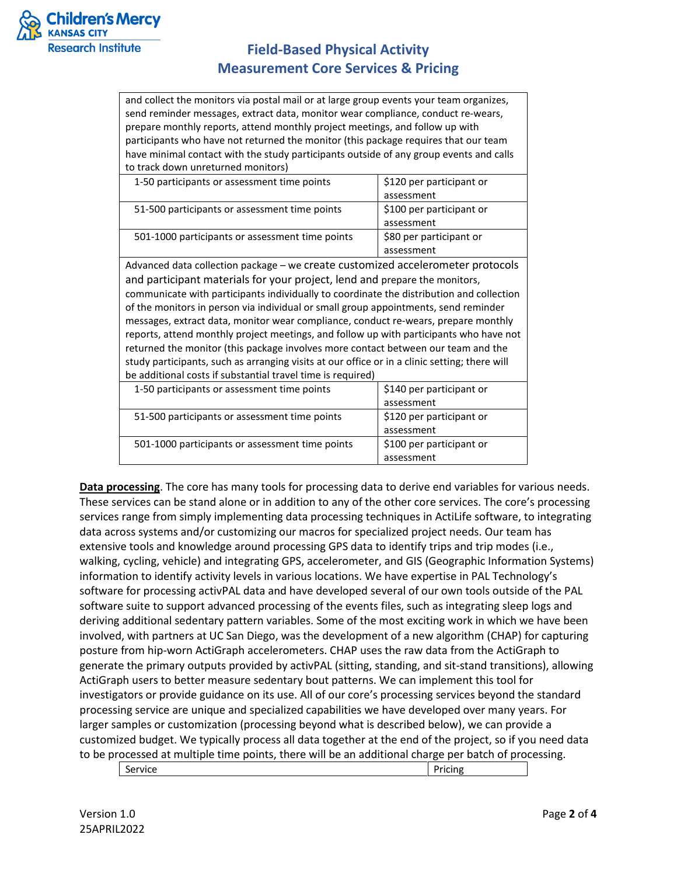

and collect the monitors via postal mail or at large group events your team organizes, send reminder messages, extract data, monitor wear compliance, conduct re-wears, prepare monthly reports, attend monthly project meetings, and follow up with participants who have not returned the monitor (this package requires that our team have minimal contact with the study participants outside of any group events and calls to track down unreturned monitors)

| 1-50 participants or assessment time points     | \$120 per participant or |
|-------------------------------------------------|--------------------------|
|                                                 | assessment               |
| 51-500 participants or assessment time points   | \$100 per participant or |
|                                                 | assessment               |
| 501-1000 participants or assessment time points | \$80 per participant or  |
|                                                 | assessment               |

Advanced data collection package – we create customized accelerometer protocols and participant materials for your project, lend and prepare the monitors, communicate with participants individually to coordinate the distribution and collection of the monitors in person via individual or small group appointments, send reminder messages, extract data, monitor wear compliance, conduct re-wears, prepare monthly reports, attend monthly project meetings, and follow up with participants who have not returned the monitor (this package involves more contact between our team and the study participants, such as arranging visits at our office or in a clinic setting; there will be additional costs if substantial travel time is required)

| 1-50 participants or assessment time points     | \$140 per participant or |  |
|-------------------------------------------------|--------------------------|--|
|                                                 | assessment               |  |
| 51-500 participants or assessment time points   | \$120 per participant or |  |
|                                                 | assessment               |  |
| 501-1000 participants or assessment time points | \$100 per participant or |  |
|                                                 | assessment               |  |
|                                                 |                          |  |

**Data processing**. The core has many tools for processing data to derive end variables for various needs. These services can be stand alone or in addition to any of the other core services. The core's processing services range from simply implementing data processing techniques in ActiLife software, to integrating data across systems and/or customizing our macros for specialized project needs. Our team has extensive tools and knowledge around processing GPS data to identify trips and trip modes (i.e., walking, cycling, vehicle) and integrating GPS, accelerometer, and GIS (Geographic Information Systems) information to identify activity levels in various locations. We have expertise in PAL Technology's software for processing activPAL data and have developed several of our own tools outside of the PAL software suite to support advanced processing of the events files, such as integrating sleep logs and deriving additional sedentary pattern variables. Some of the most exciting work in which we have been involved, with partners at UC San Diego, was the development of a new algorithm (CHAP) for capturing posture from hip-worn ActiGraph accelerometers. CHAP uses the raw data from the ActiGraph to generate the primary outputs provided by activPAL (sitting, standing, and sit-stand transitions), allowing ActiGraph users to better measure sedentary bout patterns. We can implement this tool for investigators or provide guidance on its use. All of our core's processing services beyond the standard processing service are unique and specialized capabilities we have developed over many years. For larger samples or customization (processing beyond what is described below), we can provide a customized budget. We typically process all data together at the end of the project, so if you need data to be processed at multiple time points, there will be an additional charge per batch of processing.

| $\overline{\phantom{0}}$<br>Service | Pricing |
|-------------------------------------|---------|
|                                     |         |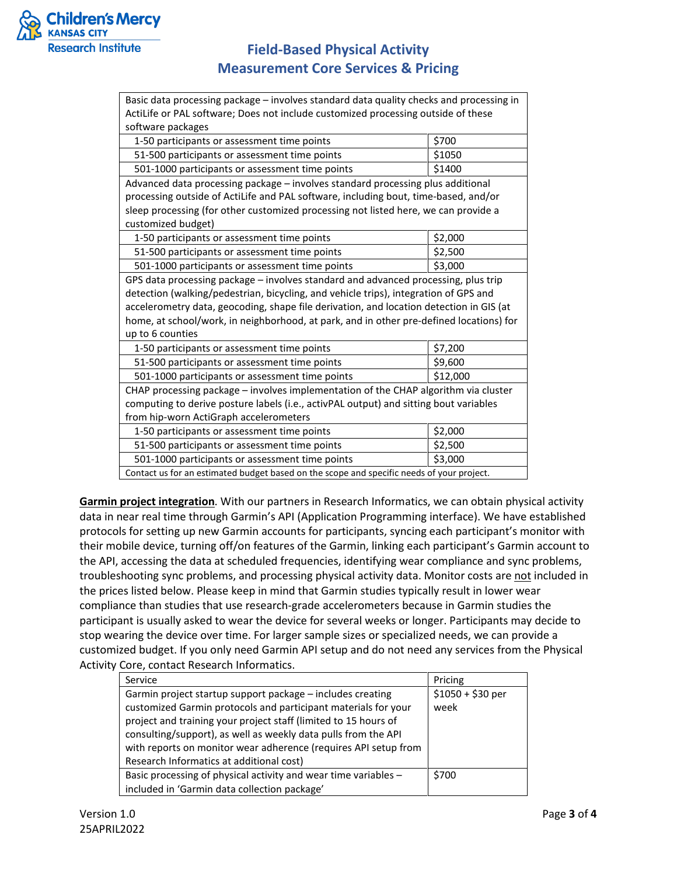

| Basic data processing package - involves standard data quality checks and processing in   |          |  |
|-------------------------------------------------------------------------------------------|----------|--|
| ActiLife or PAL software; Does not include customized processing outside of these         |          |  |
| software packages                                                                         |          |  |
| 1-50 participants or assessment time points                                               | \$700    |  |
| 51-500 participants or assessment time points                                             | \$1050   |  |
| 501-1000 participants or assessment time points                                           | \$1400   |  |
| Advanced data processing package - involves standard processing plus additional           |          |  |
| processing outside of ActiLife and PAL software, including bout, time-based, and/or       |          |  |
| sleep processing (for other customized processing not listed here, we can provide a       |          |  |
| customized budget)                                                                        |          |  |
| 1-50 participants or assessment time points                                               | \$2,000  |  |
| 51-500 participants or assessment time points                                             | \$2,500  |  |
| 501-1000 participants or assessment time points                                           | \$3,000  |  |
| GPS data processing package - involves standard and advanced processing, plus trip        |          |  |
| detection (walking/pedestrian, bicycling, and vehicle trips), integration of GPS and      |          |  |
| accelerometry data, geocoding, shape file derivation, and location detection in GIS (at   |          |  |
| home, at school/work, in neighborhood, at park, and in other pre-defined locations) for   |          |  |
| up to 6 counties                                                                          |          |  |
| 1-50 participants or assessment time points                                               | \$7,200  |  |
| 51-500 participants or assessment time points                                             | \$9,600  |  |
| 501-1000 participants or assessment time points                                           | \$12,000 |  |
| CHAP processing package - involves implementation of the CHAP algorithm via cluster       |          |  |
| computing to derive posture labels (i.e., activPAL output) and sitting bout variables     |          |  |
| from hip-worn ActiGraph accelerometers                                                    |          |  |
| 1-50 participants or assessment time points                                               | \$2,000  |  |
| 51-500 participants or assessment time points                                             | \$2,500  |  |
| 501-1000 participants or assessment time points                                           | \$3,000  |  |
| Contact us for an estimated budget based on the scope and specific needs of your project. |          |  |

**Garmin project integration**. With our partners in Research Informatics, we can obtain physical activity data in near real time through Garmin's API (Application Programming interface). We have established protocols for setting up new Garmin accounts for participants, syncing each participant's monitor with their mobile device, turning off/on features of the Garmin, linking each participant's Garmin account to the API, accessing the data at scheduled frequencies, identifying wear compliance and sync problems, troubleshooting sync problems, and processing physical activity data. Monitor costs are not included in the prices listed below. Please keep in mind that Garmin studies typically result in lower wear compliance than studies that use research-grade accelerometers because in Garmin studies the participant is usually asked to wear the device for several weeks or longer. Participants may decide to stop wearing the device over time. For larger sample sizes or specialized needs, we can provide a customized budget. If you only need Garmin API setup and do not need any services from the Physical Activity Core, contact Research Informatics.

| Service                                                         | Pricing           |
|-----------------------------------------------------------------|-------------------|
| Garmin project startup support package – includes creating      | $$1050 + $30$ per |
| customized Garmin protocols and participant materials for your  | week              |
| project and training your project staff (limited to 15 hours of |                   |
| consulting/support), as well as weekly data pulls from the API  |                   |
| with reports on monitor wear adherence (requires API setup from |                   |
| Research Informatics at additional cost)                        |                   |
| Basic processing of physical activity and wear time variables - | \$700             |
| included in 'Garmin data collection package'                    |                   |